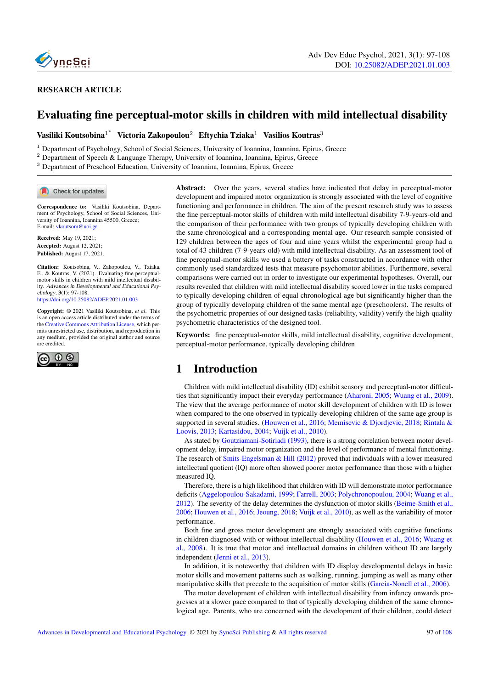

#### RESEARCH ARTICLE

# Evaluating fine perceptual-motor skills in children with mild intellectual disability

Vasiliki Koutsobina<sup>1\*</sup> Victoria Zakopoulou<sup>2</sup> Eftychia Tziaka<sup>1</sup> Vasilios Koutras<sup>3</sup>

<sup>1</sup> Department of Psychology, School of Social Sciences, University of Ioannina, Ioannina, Epirus, Greece

<sup>2</sup> Department of Speech & Language Therapy, University of Ioannina, Ioannina, Epirus, Greece

<sup>3</sup> Department of Preschool Education, University of Ioannina, Ioannina, Epirus, Greece

Check for updates

Correspondence to: Vasiliki Koutsobina, Department of Psychology, School of Social Sciences, University of Ioannina, Ioannina 45500, Greece; E-mail: <vkoutsom@uoi.gr>

Received: May 19, 2021; Accepted: August 12, 2021; Published: August 17, 2021.

Citation: Koutsobina, V., Zakopoulou, V., Tziaka, E., & Koutras, V. (2021). Evaluating fine perceptualmotor skills in children with mild intellectual disability. Advances in Developmental and Educational Psychology, 3(1): 97-108. <https://doi.org/10.25082/ADEP.2021.01.003>

Copyright: © 2021 Vasiliki Koutsobina, *et al*. This is an open access article distributed under the terms of the [Creative Commons Attribution License,](https://creativecommons.org/licenses/by/4.0/) which permits unrestricted use, distribution, and reproduction in any medium, provided the original author and source are credited.



Abstract: Over the years, several studies have indicated that delay in perceptual-motor development and impaired motor organization is strongly associated with the level of cognitive functioning and performance in children. The aim of the present research study was to assess the fine perceptual-motor skills of children with mild intellectual disability 7-9-years-old and the comparison of their performance with two groups of typically developing children with the same chronological and a corresponding mental age. Our research sample consisted of 129 children between the ages of four and nine years whilst the experimental group had a total of 43 children (7-9-years-old) with mild intellectual disability. As an assessment tool of fine perceptual-motor skills we used a battery of tasks constructed in accordance with other commonly used standardized tests that measure psychomotor abilities. Furthermore, several comparisons were carried out in order to investigate our experimental hypotheses. Overall, our results revealed that children with mild intellectual disability scored lower in the tasks compared to typically developing children of equal chronological age but significantly higher than the group of typically developing children of the same mental age (preschoolers). The results of the psychometric properties of our designed tasks (reliability, validity) verify the high-quality psychometric characteristics of the designed tool.

Keywords: fine perceptual-motor skills, mild intellectual disability, cognitive development, perceptual-motor performance, typically developing children

# 1 Introduction

Children with mild intellectual disability (ID) exhibit sensory and perceptual-motor difficulties that significantly impact their everyday performance [\(Aharoni, 2005;](#page-7-0) [Wuang et al., 2009\)](#page-8-0). The view that the average performance of motor skill development of children with ID is lower when compared to the one observed in typically developing children of the same age group is supported in several studies. [\(Houwen et al., 2016;](#page-8-1) [Memisevic & Djordjevic, 2018;](#page-8-2) [Rintala &](#page-8-3) [Loovis, 2013;](#page-8-3) [Kartasidou, 2004;](#page-8-4) [Vuijk et al., 2010\)](#page-8-5).

As stated by Goutziamani-Sotiriadi (1993), there is a strong correlation between motor development delay, impaired motor organization and the level of performance of mental functioning. The research of Smits-Engelsman & Hill (2012) proved that individuals with a lower measured intellectual quotient (IQ) more often showed poorer motor performance than those with a higher measured IQ.

Therefore, there is a high likelihood that children with ID will demonstrate motor performance deficits [\(Aggelopoulou-Sakadami, 1999;](#page-7-1) [Farrell, 2003;](#page-7-2) [Polychronopoulou, 2004;](#page-8-6) [Wuang et al.,](#page-8-7) [2012\)](#page-8-7). The severity of the delay determines the dysfunction of motor skills [\(Beirne-Smith et al.,](#page-7-3) [2006;](#page-7-3) [Houwen et al., 2016;](#page-8-1) [Jeoung, 2018;](#page-8-8) [Vuijk et al., 2010\)](#page-8-5), as well as the variability of motor performance.

Both fine and gross motor development are strongly associated with cognitive functions in children diagnosed with or without intellectual disability [\(Houwen et al., 2016;](#page-8-1) [Wuang et](#page-8-9) [al., 2008\)](#page-8-9). It is true that motor and intellectual domains in children without ID are largely independent [\(Jenni et al., 2013\)](#page-8-10).

In addition, it is noteworthy that children with ID display developmental delays in basic motor skills and movement patterns such as walking, running, jumping as well as many other manipulative skills that precede to the acquisition of motor skills [\(Garcia-Nonell et al., 2006\)](#page-7-4).

The motor development of children with intellectual disability from infancy onwards progresses at a slower pace compared to that of typically developing children of the same chronological age. Parents, who are concerned with the development of their children, could detect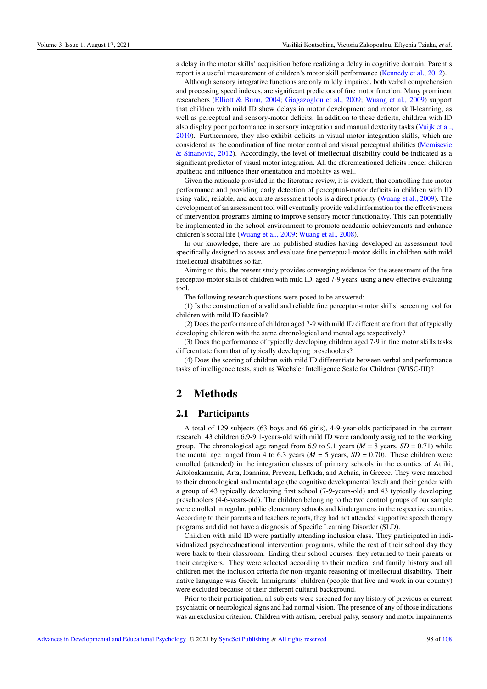a delay in the motor skills' acquisition before realizing a delay in cognitive domain. Parent's report is a useful measurement of children's motor skill performance [\(Kennedy et al., 2012\)](#page-8-11).

Although sensory integrative functions are only mildly impaired, both verbal comprehension and processing speed indexes, are significant predictors of fine motor function. Many prominent researchers [\(Elliott & Bunn, 2004;](#page-7-5) [Giagazoglou et al., 2009;](#page-7-6) [Wuang et al., 2009\)](#page-8-0) support that children with mild ID show delays in motor development and motor skill-learning, as well as perceptual and sensory-motor deficits. In addition to these deficits, children with ID also display poor performance in sensory integration and manual dexterity tasks [\(Vuijk et al.,](#page-8-5) [2010\)](#page-8-5). Furthermore, they also exhibit deficits in visual-motor integration skills, which are considered as the coordination of fine motor control and visual perceptual abilities [\(Memisevic](#page-8-12) [& Sinanovic, 2012\)](#page-8-12). Accordingly, the level of intellectual disability could be indicated as a significant predictor of visual motor integration. All the aforementioned deficits render children apathetic and influence their orientation and mobility as well.

Given the rationale provided in the literature review, it is evident, that controlling fine motor performance and providing early detection of perceptual-motor deficits in children with ID using valid, reliable, and accurate assessment tools is a direct priority [\(Wuang et al., 2009\)](#page-8-0). The development of an assessment tool will eventually provide valid information for the effectiveness of intervention programs aiming to improve sensory motor functionality. This can potentially be implemented in the school environment to promote academic achievements and enhance children's social life [\(Wuang et al., 2009;](#page-8-0) [Wuang et al., 2008\)](#page-8-9).

In our knowledge, there are no published studies having developed an assessment tool specifically designed to assess and evaluate fine perceptual-motor skills in children with mild intellectual disabilities so far.

Aiming to this, the present study provides converging evidence for the assessment of the fine perceptuo-motor skills of children with mild ID, aged 7-9 years, using a new effective evaluating tool.

The following research questions were posed to be answered:

(1) Is the construction of a valid and reliable fine perceptuo-motor skills' screening tool for children with mild ID feasible?

(2) Does the performance of children aged 7-9 with mild ID differentiate from that of typically developing children with the same chronological and mental age respectively?

(3) Does the performance of typically developing children aged 7-9 in fine motor skills tasks differentiate from that of typically developing preschoolers?

(4) Does the scoring of children with mild ID differentiate between verbal and performance tasks of intelligence tests, such as Wechsler Intelligence Scale for Children (WISC-III)?

# 2 Methods

#### 2.1 Participants

A total of 129 subjects (63 boys and 66 girls), 4-9-year-olds participated in the current research. 43 children 6.9-9.1-years-old with mild ID were randomly assigned to the working group. The chronological age ranged from 6.9 to 9.1 years ( $M = 8$  years,  $SD = 0.71$ ) while the mental age ranged from 4 to 6.3 years ( $M = 5$  years,  $SD = 0.70$ ). These children were enrolled (attended) in the integration classes of primary schools in the counties of Attiki, Aitoloakarnania, Arta, Ioannina, Preveza, Lefkada, and Achaia, in Greece. They were matched to their chronological and mental age (the cognitive developmental level) and their gender with a group of 43 typically developing first school (7-9-years-old) and 43 typically developing preschoolers (4-6-years-old). The children belonging to the two control groups of our sample were enrolled in regular, public elementary schools and kindergartens in the respective counties. According to their parents and teachers reports, they had not attended supportive speech therapy programs and did not have a diagnosis of Specific Learning Disorder (SLD).

Children with mild ID were partially attending inclusion class. They participated in individualized psychoeducational intervention programs, while the rest of their school day they were back to their classroom. Ending their school courses, they returned to their parents or their caregivers. They were selected according to their medical and family history and all children met the inclusion criteria for non-organic reasoning of intellectual disability. Their native language was Greek. Immigrants' children (people that live and work in our country) were excluded because of their different cultural background.

Prior to their participation, all subjects were screened for any history of previous or current psychiatric or neurological signs and had normal vision. The presence of any of those indications was an exclusion criterion. Children with autism, cerebral palsy, sensory and motor impairments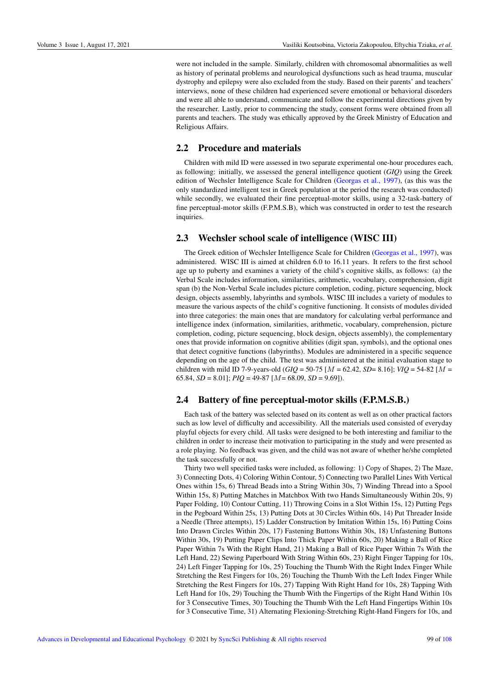were not included in the sample. Similarly, children with chromosomal abnormalities as well as history of perinatal problems and neurological dysfunctions such as head trauma, muscular dystrophy and epilepsy were also excluded from the study. Based on their parents' and teachers' interviews, none of these children had experienced severe emotional or behavioral disorders and were all able to understand, communicate and follow the experimental directions given by the researcher. Lastly, prior to commencing the study, consent forms were obtained from all parents and teachers. The study was ethically approved by the Greek Ministry of Education and Religious Affairs.

### 2.2 Procedure and materials

Children with mild ID were assessed in two separate experimental one-hour procedures each, as following: initially, we assessed the general intelligence quotient (*GIQ*) using the Greek edition of Wechsler Intelligence Scale for Children [\(Georgas et al., 1997\)](#page-7-7), (as this was the only standardized intelligent test in Greek population at the period the research was conducted) while secondly, we evaluated their fine perceptual-motor skills, using a 32-task-battery of fine perceptual-motor skills (F.P.M.S.B), which was constructed in order to test the research inquiries.

### 2.3 Wechsler school scale of intelligence (WISC III)

The Greek edition of Wechsler Intelligence Scale for Children [\(Georgas et al., 1997\)](#page-7-7), was administered. WISC III is aimed at children 6.0 to 16.11 years. It refers to the first school age up to puberty and examines a variety of the child's cognitive skills, as follows: (a) the Verbal Scale includes information, similarities, arithmetic, vocabulary, comprehension, digit span (b) the Non-Verbal Scale includes picture completion, coding, picture sequencing, block design, objects assembly, labyrinths and symbols. WISC III includes a variety of modules to measure the various aspects of the child's cognitive functioning. It consists of modules divided into three categories: the main ones that are mandatory for calculating verbal performance and intelligence index (information, similarities, arithmetic, vocabulary, comprehension, picture completion, coding, picture sequencing, block design, objects assembly), the complementary ones that provide information on cognitive abilities (digit span, symbols), and the optional ones that detect cognitive functions (labyrinths). Modules are administered in a specific sequence depending on the age of the child. The test was administered at the initial evaluation stage to children with mild ID 7-9-years-old (*GIQ* = 50-75 [M = 62.42, *SD*= 8.16]; *VIQ* = 54-82 [M = 65.84, *SD* = 8.01]; *PIQ* = 49-87 [M= 68.09, *SD* = 9.69]).

#### 2.4 Battery of fine perceptual-motor skills (F.P.M.S.B.)

Each task of the battery was selected based on its content as well as on other practical factors such as low level of difficulty and accessibility. All the materials used consisted of everyday playful objects for every child. All tasks were designed to be both interesting and familiar to the children in order to increase their motivation to participating in the study and were presented as a role playing. No feedback was given, and the child was not aware of whether he/she completed the task successfully or not.

Thirty two well specified tasks were included, as following: 1) Copy of Shapes, 2) The Maze, 3) Connecting Dots, 4) Coloring Within Contour, 5) Connecting two Parallel Lines With Vertical Ones within 15s, 6) Thread Beads into a String Within 30s, 7) Winding Thread into a Spool Within 15s, 8) Putting Matches in Matchbox With two Hands Simultaneously Within 20s, 9) Paper Folding, 10) Contour Cutting, 11) Throwing Coins in a Slot Within 15s, 12) Putting Pegs in the Pegboard Within 25s, 13) Putting Dots at 30 Circles Within 60s, 14) Put Threader Inside a Needle (Three attempts), 15) Ladder Construction by Imitation Within 15s, 16) Putting Coins Into Drawn Circles Within 20s, 17) Fastening Buttons Within 30s, 18) Unfastening Buttons Within 30s, 19) Putting Paper Clips Into Thick Paper Within 60s, 20) Making a Ball of Rice Paper Within 7s With the Right Hand, 21) Making a Ball of Rice Paper Within 7s With the Left Hand, 22) Sewing Paperboard With String Within 60s, 23) Right Finger Tapping for 10s, 24) Left Finger Tapping for 10s, 25) Touching the Thumb With the Right Index Finger While Stretching the Rest Fingers for 10s, 26) Touching the Thumb With the Left Index Finger While Stretching the Rest Fingers for 10s, 27) Tapping With Right Hand for 10s, 28) Tapping With Left Hand for 10s, 29) Touching the Thumb With the Fingertips of the Right Hand Within 10s for 3 Consecutive Times, 30) Touching the Thumb With the Left Hand Fingertips Within 10s for 3 Consecutive Time, 31) Alternating Flexioning-Stretching Right-Hand Fingers for 10s, and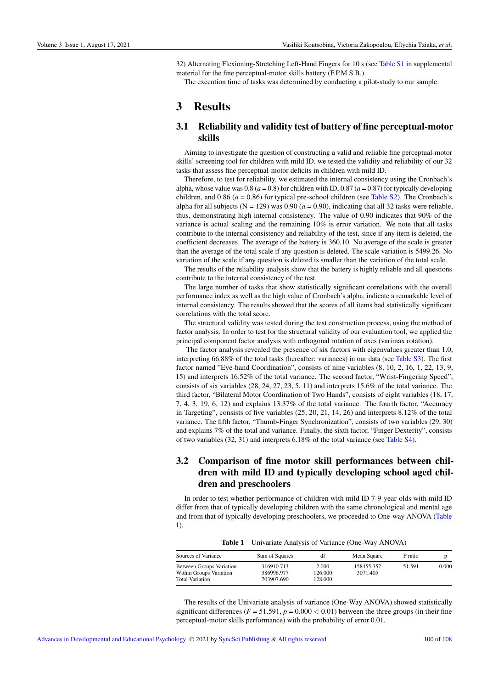32) Alternating Flexioning-Stretching Left-Hand Fingers for 10 s (see [Table S1](#page-9-0) in supplemental material for the fine perceptual-motor skills battery (F.P.M.S.B.).

The execution time of tasks was determined by conducting a pilot-study to our sample.

# 3 Results

### 3.1 Reliability and validity test of battery of fine perceptual-motor skills

Aiming to investigate the question of constructing a valid and reliable fine perceptual-motor skills' screening tool for children with mild ID, we tested the validity and reliability of our 32 tasks that assess fine perceptual-motor deficits in children with mild ID.

Therefore, to test for reliability, we estimated the internal consistency using the Cronbach's alpha, whose value was  $0.8$  ( $a = 0.8$ ) for children with ID,  $0.87$  ( $a = 0.87$ ) for typically developing children, and 0.86 ( $a = 0.86$ ) for typical pre-school children (see [Table S2\)](#page-10-0). The Cronbach's alpha for all subjects ( $N = 129$ ) was 0.90 ( $a = 0.90$ ), indicating that all 32 tasks were reliable, thus, demonstrating high internal consistency. The value of 0.90 indicates that 90% of the variance is actual scaling and the remaining 10% is error variation. We note that all tasks contribute to the internal consistency and reliability of the test, since if any item is deleted, the coefficient decreases. The average of the battery is 360.10. No average of the scale is greater than the average of the total scale if any question is deleted. The scale variation is 5499.26. No variation of the scale if any question is deleted is smaller than the variation of the total scale.

The results of the reliability analysis show that the battery is highly reliable and all questions contribute to the internal consistency of the test.

The large number of tasks that show statistically significant correlations with the overall performance index as well as the high value of Cronbach's alpha, indicate a remarkable level of internal consistency. The results showed that the scores of all items had statistically significant correlations with the total score.

The structural validity was tested during the test construction process, using the method of factor analysis. In order to test for the structural validity of our evaluation tool, we applied the principal component factor analysis with orthogonal rotation of axes (varimax rotation).

The factor analysis revealed the presence of six factors with eigenvalues greater than 1.0, interpreting 66.88% of the total tasks (hereafter: variances) in our data (see [Table S3\)](#page-10-1). The first factor named "Eye-hand Coordination", consists of nine variables (8, 10, 2, 16, 1, 22, 13, 9, 15) and interprets 16.52% of the total variance. The second factor, "Wrist-Fingering Speed", consists of six variables (28, 24, 27, 23, 5, 11) and interprets 15.6% of the total variance. The third factor, "Bilateral Motor Coordination of Two Hands", consists of eight variables (18, 17, 7, 4, 3, 19, 6, 12) and explains 13.37% of the total variance. The fourth factor, "Accuracy in Targeting", consists of five variables (25, 20, 21, 14, 26) and interprets 8.12% of the total variance. The fifth factor, "Thumb-Finger Synchronization", consists of two variables (29, 30) and explains 7% of the total and variance. Finally, the sixth factor, "Finger Dexterity", consists of two variables (32, 31) and interprets 6.18% of the total variance (see [Table S4\)](#page-11-1).

### 3.2 Comparison of fine motor skill performances between children with mild ID and typically developing school aged children and preschoolers

In order to test whether performance of children with mild ID 7-9-year-olds with mild ID differ from that of typically developing children with the same chronological and mental age and from that of typically developing preschoolers, we proceeded to One-way ANOVA [\(Table](#page-3-0) [1\)](#page-3-0).

Table 1 Univariate Analysis of Variance (One-Way ANOVA)

<span id="page-3-0"></span>

| Sources of Variance                                                                  | Sum of Squares                         | df                          | Mean Square            | F ratio |       |
|--------------------------------------------------------------------------------------|----------------------------------------|-----------------------------|------------------------|---------|-------|
| <b>Between Groups Variation</b><br>Within Groups Variation<br><b>Total Variation</b> | 316910.713<br>386996.977<br>703907.690 | 2.000<br>126.000<br>128.000 | 158455.357<br>3071.405 | 51.591  | 0.000 |

The results of the Univariate analysis of variance (One-Way ANOVA) showed statistically significant differences ( $F = 51.591$ ,  $p = 0.000 < 0.01$ ) between the three groups (in their fine perceptual-motor skills performance) with the probability of error 0.01.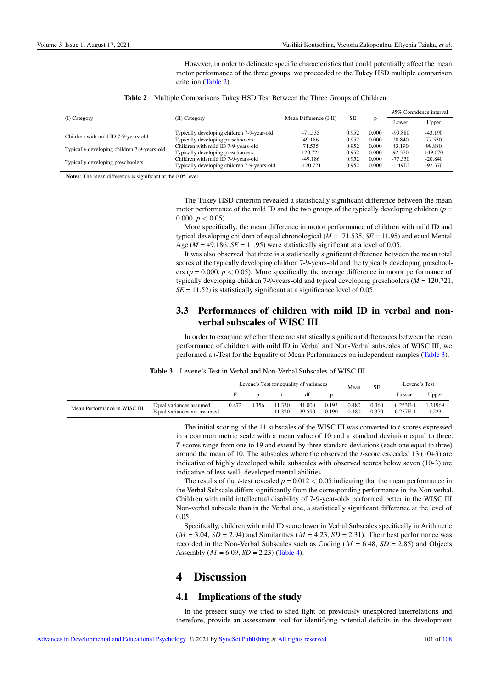<span id="page-4-0"></span>However, in order to delineate specific characteristics that could potentially affect the mean motor performance of the three groups, we proceeded to the Tukey HSD multiple comparison criterion [\(Table 2\)](#page-4-0).

|                                             |                                             |                        |           |       | 95% Confidence interval |           |  |
|---------------------------------------------|---------------------------------------------|------------------------|-----------|-------|-------------------------|-----------|--|
| (I) Category                                | (II) Category                               | Mean Difference (I-II) | <b>SE</b> | D     | Lower                   | Upper     |  |
| Children with mild ID 7-9-years-old         | Typically developing children 7-9-year-old  | $-71.535$              | 0.952     | 0.000 | $-99.880$               | $-43.190$ |  |
|                                             | Typically developing preschoolers           | 49.186                 | 0.952     | 0.000 | 20.840                  | 77.530    |  |
| Typically developing children 7-9-years-old | Children with mild ID 7-9-years-old         | 71.535                 | 0.952     | 0.000 | 43.190                  | 99.880    |  |
|                                             | Typically developing preschoolers           | 120.721                | 0.952     | 0.000 | 92.370                  | 149.070   |  |
| Typically developing preschoolers           | Children with mild ID 7-9-years-old         | $-49.186$              | 0.952     | 0.000 | $-77.530$               | $-20.840$ |  |
|                                             | Typically developing children 7-9-years-old | $-120.721$             | 0.952     | 0.000 | $-1.49E2$               | $-92.370$ |  |

|  | <b>Table 2</b> Multiple Comparisons Tukey HSD Test Between the Three Groups of Children |  |  |  |  |
|--|-----------------------------------------------------------------------------------------|--|--|--|--|
|--|-----------------------------------------------------------------------------------------|--|--|--|--|

Notes: The mean difference is significant at the 0.05 level

The Tukey HSD criterion revealed a statistically significant difference between the mean motor performance of the mild ID and the two groups of the typically developing children (*p* = 0.000,  $p < 0.05$ ).

More specifically, the mean difference in motor performance of children with mild ID and typical developing children of equal chronological (*M* = -71.535, *SE* = 11.95) and equal Mental Age ( $M = 49.186$ ,  $SE = 11.95$ ) were statistically significant at a level of 0.05.

It was also observed that there is a statistically significant difference between the mean total scores of the typically developing children 7-9-years-old and the typically developing preschoolers ( $p = 0.000$ ,  $p < 0.05$ ). More specifically, the average difference in motor performance of typically developing children 7-9-years-old and typical developing preschoolers (*M* = 120.721,  $SE = 11.52$ ) is statistically significant at a significance level of 0.05.

### 3.3 Performances of children with mild ID in verbal and nonverbal subscales of WISC III

<span id="page-4-1"></span>In order to examine whether there are statistically significant differences between the mean performance of children with mild ID in Verbal and Non-Verbal subscales of WISC III, we performed a *t*-Test for the Equality of Mean Performances on independent samples [\(Table 3\)](#page-4-1).

| <b>Table 3</b> Levene's Test in Verbal and Non-Verbal Subscales of WISC III |  |  |
|-----------------------------------------------------------------------------|--|--|
|-----------------------------------------------------------------------------|--|--|

|                              |                                                        |       |       |                  | Levene's Test for equality of variances |                | Mean           | SЕ             | Levene's Test              |                 |
|------------------------------|--------------------------------------------------------|-------|-------|------------------|-----------------------------------------|----------------|----------------|----------------|----------------------------|-----------------|
|                              |                                                        |       |       |                  |                                         |                |                |                | Lower                      | Upper           |
| Mean Performance in WISC III | Equal variances assumed<br>Equal variances not assumed | 0.872 | 0.356 | 11.330<br>11.320 | 41.000<br>39.590                        | 0.193<br>0.190 | 0.480<br>0.480 | 0.360<br>0.370 | $-0.253E-1$<br>$-0.257E-1$ | .21969<br>1.223 |

The initial scoring of the 11 subscales of the WISC III was converted to *t*-scores expressed in a common metric scale with a mean value of 10 and a standard deviation equal to three. *T*-scores range from one to 19 and extend by three standard deviations (each one equal to three) around the mean of 10. The subscales where the observed the *t*-score exceeded 13 (10+3) are indicative of highly developed while subscales with observed scores below seven (10-3) are indicative of less well- developed mental abilities.

The results of the *t*-test revealed  $p = 0.012 < 0.05$  indicating that the mean performance in the Verbal Subscale differs significantly from the corresponding performance in the Non-verbal. Children with mild intellectual disability of 7-9-year-olds performed better in the WISC III Non-verbal subscale than in the Verbal one, a statistically significant difference at the level of 0.05.

Specifically, children with mild ID score lower in Verbal Subscales specifically in Arithmetic  $(M = 3.04, SD = 2.94)$  and Similarities  $(M = 4.23, SD = 2.31)$ . Their best performance was recorded in the Non-Verbal Subscales such as Coding  $(M = 6.48, SD = 2.85)$  and Objects Assembly ( $M = 6.09$ ,  $SD = 2.23$ ) [\(Table 4\)](#page-5-0).

# 4 Discussion

#### 4.1 Implications of the study

In the present study we tried to shed light on previously unexplored interrelations and therefore, provide an assessment tool for identifying potential deficits in the development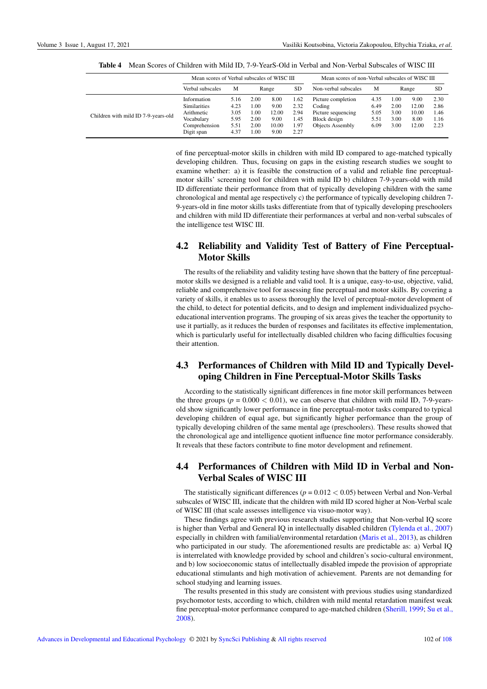|                                     | Mean scores of Verbal subscales of WISC III                                                   |                                              |                                              |                                                |                                              | Mean scores of non-Verbal subscales of WISC III                                               |                                      |                                      |                                         |                                      |
|-------------------------------------|-----------------------------------------------------------------------------------------------|----------------------------------------------|----------------------------------------------|------------------------------------------------|----------------------------------------------|-----------------------------------------------------------------------------------------------|--------------------------------------|--------------------------------------|-----------------------------------------|--------------------------------------|
|                                     | Verbal subscales                                                                              | M                                            | Range                                        |                                                | <b>SD</b>                                    | Non-verbal subscales                                                                          | M                                    | Range                                |                                         | <b>SD</b>                            |
| Children with mild ID 7-9-years-old | Information<br><b>Similarities</b><br>Arithmetic<br>Vocabulary<br>Comprehension<br>Digit span | 5.16<br>4.23<br>3.05<br>5.95<br>5.51<br>4.37 | 2.00<br>1.00<br>1.00<br>2.00<br>2.00<br>1.00 | 8.00<br>9.00<br>12.00<br>9.00<br>10.00<br>9.00 | 1.62<br>2.32<br>2.94<br>1.45<br>1.97<br>2.27 | Picture completion<br>Coding<br>Picture sequencing<br>Block design<br><b>Objects Assembly</b> | 4.35<br>6.49<br>5.05<br>5.51<br>6.09 | 1.00<br>2.00<br>3.00<br>3.00<br>3.00 | 9.00<br>12.00<br>10.00<br>8.00<br>12.00 | 2.30<br>2.86<br>1.46<br>1.16<br>2.23 |

<span id="page-5-0"></span>Table 4 Mean Scores of Children with Mild ID, 7-9-YearS-Old in Verbal and Non-Verbal Subscales of WISC III

of fine perceptual-motor skills in children with mild ID compared to age-matched typically developing children. Thus, focusing on gaps in the existing research studies we sought to examine whether: a) it is feasible the construction of a valid and reliable fine perceptualmotor skills' screening tool for children with mild ID b) children 7-9-years-old with mild ID differentiate their performance from that of typically developing children with the same chronological and mental age respectively c) the performance of typically developing children 7- 9-years-old in fine motor skills tasks differentiate from that of typically developing preschoolers and children with mild ID differentiate their performances at verbal and non-verbal subscales of the intelligence test WISC III.

### 4.2 Reliability and Validity Test of Battery of Fine Perceptual-Motor Skills

The results of the reliability and validity testing have shown that the battery of fine perceptualmotor skills we designed is a reliable and valid tool. It is a unique, easy-to-use, objective, valid, reliable and comprehensive tool for assessing fine perceptual and motor skills. By covering a variety of skills, it enables us to assess thoroughly the level of perceptual-motor development of the child, to detect for potential deficits, and to design and implement individualized psychoeducational intervention programs. The grouping of six areas gives the teacher the opportunity to use it partially, as it reduces the burden of responses and facilitates its effective implementation, which is particularly useful for intellectually disabled children who facing difficulties focusing their attention.

### 4.3 Performances of Children with Mild ID and Typically Developing Children in Fine Perceptual-Motor Skills Tasks

According to the statistically significant differences in fine motor skill performances between the three groups ( $p = 0.000 < 0.01$ ), we can observe that children with mild ID, 7-9-yearsold show significantly lower performance in fine perceptual-motor tasks compared to typical developing children of equal age, but significantly higher performance than the group of typically developing children of the same mental age (preschoolers). These results showed that the chronological age and intelligence quotient influence fine motor performance considerably. It reveals that these factors contribute to fine motor development and refinement.

### 4.4 Performances of Children with Mild ID in Verbal and Non-Verbal Scales of WISC III

The statistically significant differences ( $p = 0.012 < 0.05$ ) between Verbal and Non-Verbal subscales of WISC III, indicate that the children with mild ID scored higher at Non-Verbal scale of WISC III (that scale assesses intelligence via visuo-motor way).

These findings agree with previous research studies supporting that Non-verbal IQ score is higher than Verbal and General IQ in intellectually disabled children [\(Tylenda et al., 2007\)](#page-8-13) especially in children with familial/environmental retardation [\(Maris et al., 2013\)](#page-8-14), as children who participated in our study. The aforementioned results are predictable as: a) Verbal IQ is interrelated with knowledge provided by school and children's socio-cultural environment, and b) low socioeconomic status of intellectually disabled impede the provision of appropriate educational stimulants and high motivation of achievement. Parents are not demanding for school studying and learning issues.

The results presented in this study are consistent with previous studies using standardized psychomotor tests, according to which, children with mild mental retardation manifest weak fine perceptual-motor performance compared to age-matched children [\(Sherill, 1999;](#page-8-15) [Su et al.,](#page-8-16) [2008\)](#page-8-16).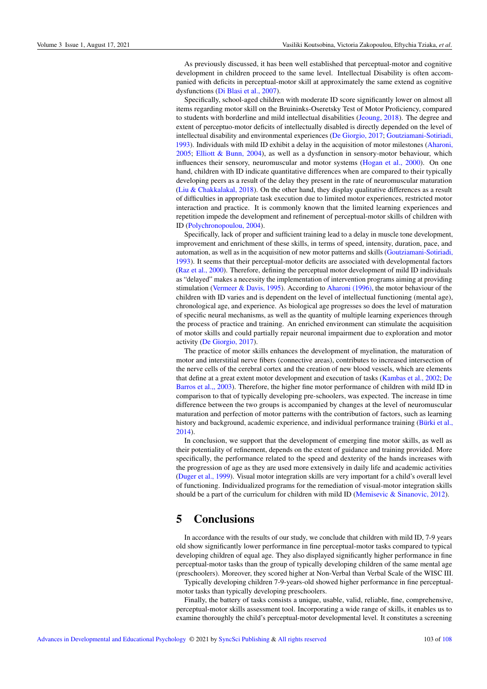As previously discussed, it has been well established that perceptual-motor and cognitive development in children proceed to the same level. Intellectual Disability is often accompanied with deficits in perceptual-motor skill at approximately the same extend as cognitive dysfunctions [\(Di Blasi et al., 2007\)](#page-7-8).

Specifically, school-aged children with moderate ID score significantly lower on almost all items regarding motor skill on the Bruininks-Oseretsky Test of Motor Proficiency, compared to students with borderline and mild intellectual disabilities [\(Jeoung, 2018\)](#page-8-8). The degree and extent of perceptuo-motor deficits of intellectually disabled is directly depended on the level of intellectual disability and environmental experiences [\(De Giorgio, 2017;](#page-7-9) [Goutziamani-Sotiriadi,](#page-7-10) [1993\)](#page-7-10). Individuals with mild ID exhibit a delay in the acquisition of motor milestones [\(Aharoni,](#page-7-0) [2005;](#page-7-0) [Elliott & Bunn, 2004\)](#page-7-5), as well as a dysfunction in sensory-motor behaviour, which influences their sensory, neuromuscular and motor systems [\(Hogan et al., 2000\)](#page-7-11). On one hand, children with ID indicate quantitative differences when are compared to their typically developing peers as a result of the delay they present in the rate of neuromuscular maturation [\(Liu & Chakkalakal, 2018\)](#page-8-17). On the other hand, they display qualitative differences as a result of difficulties in appropriate task execution due to limited motor experiences, restricted motor interaction and practice. It is commonly known that the limited learning experiences and repetition impede the development and refinement of perceptual-motor skills of children with ID [\(Polychronopoulou, 2004\)](#page-8-6).

Specifically, lack of proper and sufficient training lead to a delay in muscle tone development, improvement and enrichment of these skills, in terms of speed, intensity, duration, pace, and automation, as well as in the acquisition of new motor patterns and skills [\(Goutziamani-Sotiriadi,](#page-7-10) [1993\)](#page-7-10). It seems that their perceptual-motor deficits are associated with developmental factors [\(Raz et al., 2000\)](#page-8-18). Therefore, defining the perceptual motor development of mild ID individuals as "delayed" makes a necessity the implementation of intervention programs aiming at providing stimulation [\(Vermeer & Davis, 1995\)](#page-8-19). According to Aharoni (1996), the motor behaviour of the children with ID varies and is dependent on the level of intellectual functioning (mental age), chronological age, and experience. As biological age progresses so does the level of maturation of specific neural mechanisms, as well as the quantity of multiple learning experiences through the process of practice and training. An enriched environment can stimulate the acquisition of motor skills and could partially repair neuronal impairment due to exploration and motor activity [\(De Giorgio, 2017\)](#page-7-9).

The practice of motor skills enhances the development of myelination, the maturation of motor and interstitial nerve fibers (connective areas), contributes to increased intersection of the nerve cells of the cerebral cortex and the creation of new blood vessels, which are elements that define at a great extent motor development and execution of tasks [\(Kambas et al., 2002;](#page-8-20) [De](#page-7-12) [Barros et al.,, 2003\)](#page-7-12). Therefore, the higher fine motor performance of children with mild ID in comparison to that of typically developing pre-schoolers, was expected. The increase in time difference between the two groups is accompanied by changes at the level of neuromuscular maturation and perfection of motor patterns with the contribution of factors, such as learning history and background, academic experience, and individual performance training (Bürki et al., [2014\)](#page-7-13).

In conclusion, we support that the development of emerging fine motor skills, as well as their potentiality of refinement, depends on the extent of guidance and training provided. More specifically, the performance related to the speed and dexterity of the hands increases with the progression of age as they are used more extensively in daily life and academic activities [\(Duger et al., 1999\)](#page-7-14). Visual motor integration skills are very important for a child's overall level of functioning. Individualized programs for the remediation of visual-motor integration skills should be a part of the curriculum for children with mild ID [\(Memisevic & Sinanovic, 2012\)](#page-8-12).

### 5 Conclusions

In accordance with the results of our study, we conclude that children with mild ID, 7-9 years old show significantly lower performance in fine perceptual-motor tasks compared to typical developing children of equal age. They also displayed significantly higher performance in fine perceptual-motor tasks than the group of typically developing children of the same mental age (preschoolers). Moreover, they scored higher at Non-Verbal than Verbal Scale of the WISC III.

Typically developing children 7-9-years-old showed higher performance in fine perceptualmotor tasks than typically developing preschoolers.

Finally, the battery of tasks consists a unique, usable, valid, reliable, fine, comprehensive, perceptual-motor skills assessment tool. Incorporating a wide range of skills, it enables us to examine thoroughly the child's perceptual-motor developmental level. It constitutes a screening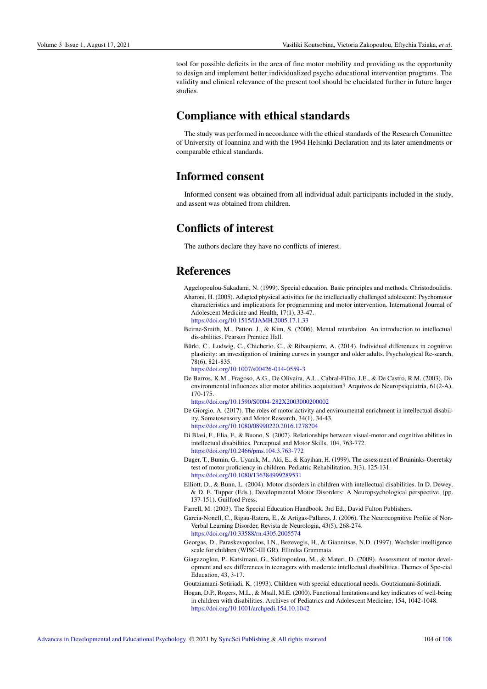tool for possible deficits in the area of fine motor mobility and providing us the opportunity to design and implement better individualized psycho educational intervention programs. The validity and clinical relevance of the present tool should be elucidated further in future larger studies.

## Compliance with ethical standards

The study was performed in accordance with the ethical standards of the Research Committee of University of Ioannina and with the 1964 Helsinki Declaration and its later amendments or comparable ethical standards.

## Informed consent

Informed consent was obtained from all individual adult participants included in the study, and assent was obtained from children.

# Conflicts of interest

The authors declare they have no conflicts of interest.

# References

- <span id="page-7-1"></span><span id="page-7-0"></span>Aggelopoulou-Sakadami, N. (1999). Special education. Basic principles and methods. Christodoulidis. Aharoni, H. (2005). Adapted physical activities for the intellectually challenged adolescent: Psychomotor characteristics and implications for programming and motor intervention. International Journal of Adolescent Medicine and Health, 17(1), 33-47. <https://doi.org/10.1515/IJAMH.2005.17.1.33>
- <span id="page-7-3"></span>Beirne-Smith, M., Patton. J., & Kim, S. (2006). Mental retardation. An introduction to intellectual dis-abilities. Pearson Prentice Hall.
- <span id="page-7-13"></span>Bürki, C., Ludwig, C., Chicherio, C., & Ribaupierre, A. (2014). Individual differences in cognitive plasticity: an investigation of training curves in younger and older adults. Psychological Re-search, 78(6), 821-835.
	- <https://doi.org/10.1007/s00426-014-0559-3>
- <span id="page-7-12"></span>De Barros, K.M., Fragoso, A.G., De Oliveira, A.L., Cabral-Filho, J.E., & De Castro, R.M. (2003). Do environmental influences alter motor abilities acquisition? Arquivos de Neuropsiquiatria, 61(2-A), 170-175.
	- <https://doi.org/10.1590/S0004-282X2003000200002>
- <span id="page-7-9"></span>De Giorgio, A. (2017). The roles of motor activity and environmental enrichment in intellectual disability. Somatosensory and Motor Research, 34(1), 34-43. <https://doi.org/10.1080/08990220.2016.1278204>
- <span id="page-7-8"></span>Di Blasi, F., Elia, F., & Buono, S. (2007). Relationships between visual-motor and cognitive abilities in intellectual disabilities. Perceptual and Motor Skills, 104, 763-772. <https://doi.org/10.2466/pms.104.3.763-772>
- <span id="page-7-14"></span>Duger, T., Bumin, G., Uyanik, M., Aki, E., & Kayihan, H. (1999). The assessment of Bruininks-Oseretsky test of motor proficiency in children. Pediatric Rehabilitation, 3(3), 125-131. <https://doi.org/10.1080/136384999289531>
- <span id="page-7-5"></span>Elliott, D., & Bunn, L. (2004). Motor disorders in children with intellectual disabilities. In D. Dewey, & D. E. Tupper (Eds.), Developmental Motor Disorders: A Neuropsychological perspective. (pp. 137-151). Guilford Press.
- <span id="page-7-2"></span>Farrell, M. (2003). The Special Education Handbook. 3rd Ed., David Fulton Publishers.
- <span id="page-7-4"></span>Garcia-Nonell, C., Rigau-Ratera, E., & Artigas-Pallares, J. (2006). The Neurocognitive Profile of Non-Verbal Learning Disorder, Revista de Neurologia, 43(5), 268-274. <https://doi.org/10.33588/rn.4305.2005574>
- <span id="page-7-7"></span>Georgas, D., Paraskevopoulos, I.N., Bezevegis, H., & Giannitsas, N.D. (1997). Wechsler intelligence scale for children (WISC-III GR). Ellinika Grammata.
- <span id="page-7-6"></span>Giagazoglou, P., Katsimani, G., Sidiropoulou, M., & Materi, D. (2009). Assessment of motor development and sex differences in teenagers with moderate intellectual disabilities. Themes of Spe-cial Education, 43, 3-17.
- <span id="page-7-10"></span>Goutziamani-Sotiriadi, K. (1993). Children with special educational needs. Goutziamani-Sotiriadi.
- <span id="page-7-11"></span>Hogan, D.P., Rogers, M.L., & Msall, M.E. (2000). Functional limitations and key indicators of well-being in children with disabilities. Archives of Pediatrics and Adolescent Medicine, 154, 1042-1048. <https://doi.org/10.1001/archpedi.154.10.1042>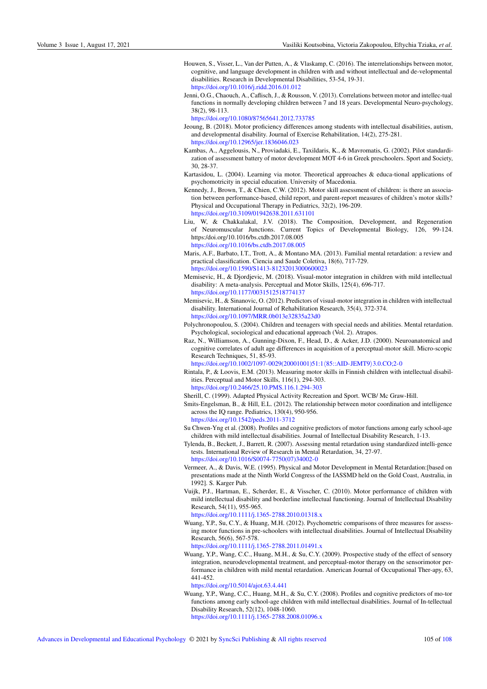- <span id="page-8-1"></span>Houwen, S., Visser, L., Van der Putten, A., & Vlaskamp, C. (2016). The interrelationships between motor, cognitive, and language development in children with and without intellectual and de-velopmental disabilities. Research in Developmental Disabilities, 53-54, 19-31. <https://doi.org/10.1016/j.ridd.2016.01.012>
- <span id="page-8-10"></span>Jenni, O.G., Chaouch, A., Caflisch, J., & Rousson, V. (2013). Correlations between motor and intellec-tual functions in normally developing children between 7 and 18 years. Developmental Neuro-psychology, 38(2), 98-113.

<https://doi.org/10.1080/87565641.2012.733785>

- <span id="page-8-8"></span>Jeoung, B. (2018). Motor proficiency differences among students with intellectual disabilities, autism, and developmental disability. Journal of Exercise Rehabilitation, 14(2), 275-281. <https://doi.org/10.12965/jer.1836046.023>
- <span id="page-8-20"></span>Kambas, A., Aggelousis, N., Proviadaki, E., Taxildaris, K., & Mavromatis, G. (2002). Pilot standardization of assessment battery of motor development MOT 4-6 in Greek preschoolers. Sport and Society, 30, 28-37.
- <span id="page-8-4"></span>Kartasidou, L. (2004). Learning via motor. Theoretical approaches & educa-tional applications of psychomotricity in special education. University of Macedonia.
- <span id="page-8-11"></span>Kennedy, J., Brown, T., & Chien, C.W. (2012). Motor skill assessment of children: is there an association between performance-based, child report, and parent-report measures of children's motor skills? Physical and Occupational Therapy in Pediatrics, 32(2), 196-209. <https://doi.org/10.3109/01942638.2011.631101>
- <span id="page-8-17"></span>Liu, W, & Chakkalakal, J.V. (2018). The Composition, Development, and Regeneration of Neuromuscular Junctions. Current Topics of Developmental Biology, 126, 99-124. https:/doi.org/10.1016/bs.ctdb.2017.08.005 <https://doi.org/10.1016/bs.ctdb.2017.08.005>
- <span id="page-8-14"></span>Maris, A.F., Barbato, I.T., Trott, A., & Montano MA. (2013). Familial mental retardation: a review and practical classification. Ciencia and Saude Coletiva, 18(6), 717-729. <https://doi.org/10.1590/S1413-81232013000600023>
- <span id="page-8-2"></span>Memisevic, H., & Djordjevic, M. (2018). Visual-motor integration in children with mild intellectual disability: A meta-analysis. Perceptual and Motor Skills, 125(4), 696-717. <https://doi.org/10.1177/0031512518774137>
- <span id="page-8-12"></span>Memisevic, H., & Sinanovic, O. (2012). Predictors of visual-motor integration in children with intellectual disability. International Journal of Rehabilitation Research, 35(4), 372-374. <https://doi.org/10.1097/MRR.0b013e32835a23d0>
- <span id="page-8-6"></span>Polychronopoulou, S. (2004). Children and teenagers with special needs and abilities. Mental retardation. Psychological, sociological and educational approach (Vol. 2). Atrapos.
- <span id="page-8-18"></span>Raz, N., Williamson, A., Gunning-Dixon, F., Head, D., & Acker, J.D. (2000). Neuroanatomical and cognitive correlates of adult age differences in acquisition of a perceptual-motor skill. Micro-scopic Research Techniques, 51, 85-93.
	- [https://doi.org/10.1002/1097-0029\(20001001\)51:1](https://doi.org/10.1002/1097-0029(20001001)51:1<85::AID-JEMT9>3.0.CO;2-0)\(85::AID-JEMT9\)3.0.CO;2-0
- <span id="page-8-3"></span>Rintala, P., & Loovis, E.M. (2013). Measuring motor skills in Finnish children with intellectual disabilities. Perceptual and Motor Skills, 116(1), 294-303. <https://doi.org/10.2466/25.10.PMS.116.1.294-303>
- <span id="page-8-15"></span>Sherill, C. (1999). Adapted Physical Activity Recreation and Sport. WCB/ Mc Graw-Hill.
- Smits-Engelsman, B., & Hill, E.L. (2012). The relationship between motor coordination and intelligence across the IQ range. Pediatrics, 130(4), 950-956. <https://doi.org/10.1542/peds.2011-3712>
- <span id="page-8-16"></span>Su Chwen-Yng et al. (2008). Profiles and cognitive predictors of motor functions among early school-age children with mild intellectual disabilities. Journal of Intellectual Disability Research, 1-13.
- <span id="page-8-13"></span>Tylenda, B., Beckett, J., Barrett, R. (2007). Assessing mental retardation using standardized intelli-gence tests. International Review of Research in Mental Retardation, 34, 27-97. [https://doi.org/10.1016/S0074-7750\(07\)34002-0](https://doi.org/10.1016/S0074-7750(07)34002-0)

<span id="page-8-19"></span>Vermeer, A., & Davis, W.E. (1995). Physical and Motor Development in Mental Retardation:[based on presentations made at the Ninth World Congress of the IASSMD held on the Gold Coast, Australia, in 1992]. S. Karger Pub.

<span id="page-8-5"></span>Vuijk, P.J., Hartman, E., Scherder, E., & Visscher, C. (2010). Motor performance of children with mild intellectual disability and borderline intellectual functioning. Journal of Intellectual Disability Research, 54(11), 955-965.

<https://doi.org/10.1111/j.1365-2788.2010.01318.x>

<span id="page-8-7"></span>Wuang, Y.P., Su, C.Y., & Huang, M.H. (2012). Psychometric comparisons of three measures for assessing motor functions in pre-schoolers with intellectual disabilities. Journal of Intellectual Disability Research, 56(6), 567-578.

<https://doi.org/10.1111/j.1365-2788.2011.01491.x>

<span id="page-8-0"></span>Wuang, Y.P., Wang, C.C., Huang, M.H., & Su, C.Y. (2009). Prospective study of the effect of sensory integration, neurodevelopmental treatment, and perceptual-motor therapy on the sensorimotor performance in children with mild mental retardation. American Journal of Occupational Ther-apy, 63, 441-452.

<https://doi.org/10.5014/ajot.63.4.441>

<span id="page-8-9"></span>Wuang, Y.P., Wang, C.C., Huang, M.H., & Su, C.Y. (2008). Profiles and cognitive predictors of mo-tor functions among early school-age children with mild intellectual disabilities. Journal of In-tellectual Disability Research, 52(12), 1048-1060.

<https://doi.org/10.1111/j.1365-2788.2008.01096.x>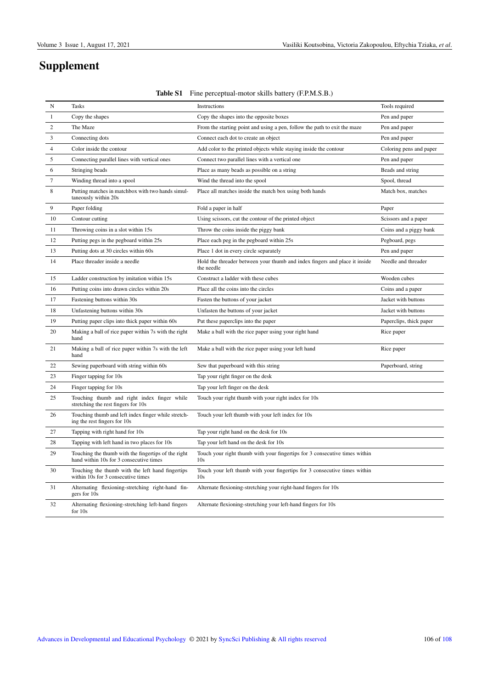# Supplement

| N                | <b>Tasks</b>                                                                                   | Instructions                                                                                 | Tools required          |
|------------------|------------------------------------------------------------------------------------------------|----------------------------------------------------------------------------------------------|-------------------------|
| $\mathbf{1}$     | Copy the shapes                                                                                | Copy the shapes into the opposite boxes                                                      | Pen and paper           |
| 2                | The Maze                                                                                       | From the starting point and using a pen, follow the path to exit the maze                    | Pen and paper           |
| 3                | Connecting dots                                                                                | Connect each dot to create an object                                                         | Pen and paper           |
| $\overline{4}$   | Color inside the contour                                                                       | Add color to the printed objects while staying inside the contour                            | Coloring pens and paper |
| 5                | Connecting parallel lines with vertical ones                                                   | Connect two parallel lines with a vertical one                                               | Pen and paper           |
| 6                | Stringing beads                                                                                | Place as many beads as possible on a string                                                  | Beads and string        |
| $\boldsymbol{7}$ | Winding thread into a spool                                                                    | Wind the thread into the spool                                                               | Spool, thread           |
| 8                | Putting matches in matchbox with two hands simul-<br>taneously within 20s                      | Place all matches inside the match box using both hands                                      | Match box, matches      |
| 9                | Paper folding                                                                                  | Fold a paper in half                                                                         | Paper                   |
| 10               | Contour cutting                                                                                | Using scissors, cut the contour of the printed object                                        | Scissors and a paper    |
| 11               | Throwing coins in a slot within 15s.                                                           | Throw the coins inside the piggy bank                                                        | Coins and a piggy bank  |
| 12               | Putting pegs in the pegboard within 25s                                                        | Place each peg in the pegboard within 25s                                                    | Pegboard, pegs          |
| 13               | Putting dots at 30 circles within 60s                                                          | Place 1 dot in every circle separately                                                       | Pen and paper           |
| 14               | Place threader inside a needle                                                                 | Hold the threader between your thumb and index fingers and place it inside<br>the needle     | Needle and threader     |
| 15               | Ladder construction by imitation within 15s.                                                   | Construct a ladder with these cubes                                                          | Wooden cubes            |
| 16               | Putting coins into drawn circles within 20s                                                    | Place all the coins into the circles                                                         | Coins and a paper       |
| 17               | Fastening buttons within 30s                                                                   | Fasten the buttons of your jacket                                                            | Jacket with buttons     |
| 18               | Unfastening buttons within 30s                                                                 | Unfasten the buttons of your jacket                                                          | Jacket with buttons     |
| 19               | Putting paper clips into thick paper within 60s                                                | Put these paperclips into the paper                                                          | Paperclips, thick paper |
| 20               | Making a ball of rice paper within 7s with the right<br>hand                                   | Make a ball with the rice paper using your right hand                                        | Rice paper              |
| 21               | Making a ball of rice paper within 7s with the left<br>hand                                    | Make a ball with the rice paper using your left hand                                         | Rice paper              |
| 22               | Sewing paperboard with string within 60s                                                       | Sew that paperboard with this string                                                         | Paperboard, string      |
| 23               | Finger tapping for 10s                                                                         | Tap your right finger on the desk                                                            |                         |
| 24               | Finger tapping for 10s                                                                         | Tap your left finger on the desk                                                             |                         |
| 25               | Touching thumb and right index finger while<br>stretching the rest fingers for 10s             | Touch your right thumb with your right index for 10s                                         |                         |
| 26               | Touching thumb and left index finger while stretch-<br>ing the rest fingers for 10s            | Touch your left thumb with your left index for 10s                                           |                         |
| 27               | Tapping with right hand for 10s                                                                | Tap your right hand on the desk for 10s                                                      |                         |
| 28               | Tapping with left hand in two places for 10s                                                   | Tap your left hand on the desk for 10s                                                       |                         |
| 29               | Touching the thumb with the fingertips of the right<br>hand within 10s for 3 consecutive times | Touch your right thumb with your fingertips for 3 consecutive times within<br>10s            |                         |
| 30               | Touching the thumb with the left hand fingertips<br>within 10s for 3 consecutive times         | Touch your left thumb with your fingertips for 3 consecutive times within<br>10 <sub>s</sub> |                         |
| 31               | Alternating flexioning-stretching right-hand fin-<br>gers for 10s                              | Alternate flexioning-stretching your right-hand fingers for 10s                              |                         |
| 32               | Alternating flexioning-stretching left-hand fingers<br>for 10s                                 | Alternate flexioning-stretching your left-hand fingers for 10s                               |                         |

### <span id="page-9-0"></span>Table S1 Fine perceptual-motor skills battery (F.P.M.S.B.)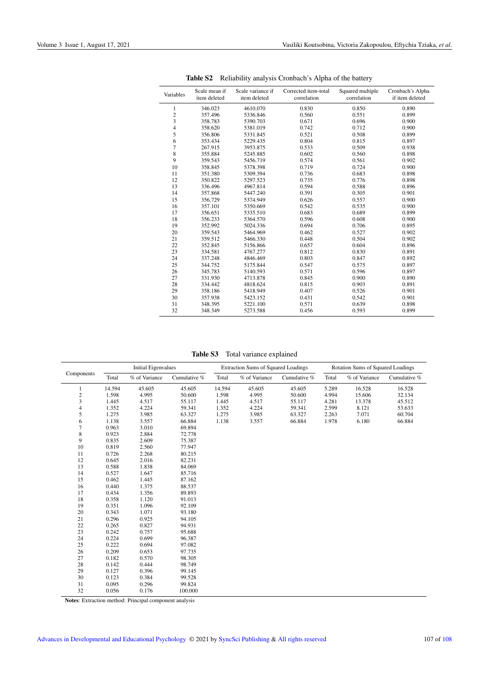| Variables                | Scale mean if<br>item deleted | Scale variance if<br>item deleted | Corrected item-total<br>correlation | Squared multiple<br>correlation | Cronbach's Alpha<br>if item deleted |
|--------------------------|-------------------------------|-----------------------------------|-------------------------------------|---------------------------------|-------------------------------------|
| 1                        | 346.023                       | 4610.070                          | 0.830                               | 0.850                           | 0.890                               |
|                          | 357.496                       | 5336.846                          | 0.560                               | 0.551                           | 0.899                               |
| $\frac{2}{3}$            | 358.783                       | 5390.703                          | 0.671                               | 0.696                           | 0.900                               |
| 4                        | 358.620                       | 5381.019                          | 0.742                               | 0.712                           | 0.900                               |
| 5                        | 356.806                       | 5331.845                          | 0.521                               | 0.508                           | 0.899                               |
| 6                        | 353.434                       | 5229.435                          | 0.804                               | 0.815                           | 0.897                               |
| $\overline{\mathcal{I}}$ | 267.915                       | 3953.875                          | 0.533                               | 0.509                           | 0.938                               |
| 8                        | 355.884                       | 5245.885                          | 0.602                               | 0.560                           | 0.898                               |
| 9                        | 359.543                       | 5456.719                          | 0.574                               | 0.561                           | 0.902                               |
| 10                       | 358.845                       | 5378.398                          | 0.719                               | 0.724                           | 0.900                               |
| 11                       | 351.380                       | 5309.394                          | 0.736                               | 0.683                           | 0.898                               |
| 12                       | 350.822                       | 5297.523                          | 0.735                               | 0.776                           | 0.898                               |
| 13                       | 336.496                       | 4967.814                          | 0.594                               | 0.588                           | 0.896                               |
| 14                       | 357.868                       | 5447.240                          | 0.391                               | 0.305                           | 0.901                               |
| 15                       | 356.729                       | 5374.949                          | 0.626                               | 0.557                           | 0.900                               |
| 16                       | 357.101                       | 5350.669                          | 0.542                               | 0.535                           | 0.900                               |
| 17                       | 356.651                       | 5335.510                          | 0.683                               | 0.689                           | 0.899                               |
| 18                       | 356.233                       | 5364.570                          | 0.596                               | 0.608                           | 0.900                               |
| 19                       | 352.992                       | 5024.336                          | 0.694                               | 0.706                           | 0.895                               |
| 20                       | 359.543                       | 5464.969                          | 0.462                               | 0.527                           | 0.902                               |
| 21                       | 359.512                       | 5466.330                          | 0.448                               | 0.504                           | 0.902                               |
| 22                       | 352.845                       | 5156.866                          | 0.657                               | 0.604                           | 0.896                               |
| 23                       | 334.581                       | 4767.277                          | 0.812                               | 0.830                           | 0.891                               |
| 24                       | 337.248                       | 4846.469                          | 0.803                               | 0.847                           | 0.892                               |
| 25                       | 344.752                       | 5175.844                          | 0.547                               | 0.575                           | 0.897                               |
| 26                       | 345.783                       | 5140.593                          | 0.571                               | 0.596                           | 0.897                               |
| 27                       | 331.930                       | 4713.878                          | 0.845                               | 0.900                           | 0.890                               |
| 28                       | 334.442                       | 4818.624                          | 0.815                               | 0.903                           | 0.891                               |
| 29                       | 358.186                       | 5418.949                          | 0.407                               | 0.526                           | 0.901                               |
| 30                       | 357.938                       | 5423.152                          | 0.431                               | 0.542                           | 0.901                               |
| 31                       | 348.395                       | 5221.100                          | 0.571                               | 0.639                           | 0.898                               |
| 32                       | 348.349                       | 5273.588                          | 0.456                               | 0.593                           | 0.899                               |

<span id="page-10-0"></span>Table S2 Reliability analysis Cronbach's Alpha of the battery

<span id="page-10-1"></span>Table S3 Total variance explained

|            |        | <b>Initial Eigenvalues</b> |              | <b>Extraction Sums of Squared Loadings</b> |               |              | <b>Rotation Sums of Squared Loadings</b> |               |              |
|------------|--------|----------------------------|--------------|--------------------------------------------|---------------|--------------|------------------------------------------|---------------|--------------|
| Components | Total  | % of Variance              | Cumulative % | Total                                      | % of Variance | Cumulative % | Total                                    | % of Variance | Cumulative % |
| 1          | 14.594 | 45.605                     | 45.605       | 14.594                                     | 45.605        | 45.605       | 5.289                                    | 16.528        | 16.528       |
| $\,2$      | 1.598  | 4.995                      | 50.600       | 1.598                                      | 4.995         | 50.600       | 4.994                                    | 15.606        | 32.134       |
| 3          | 1.445  | 4.517                      | 55.117       | 1.445                                      | 4.517         | 55.117       | 4.281                                    | 13.378        | 45.512       |
| 4          | 1.352  | 4.224                      | 59.341       | 1.352                                      | 4.224         | 59.341       | 2.599                                    | 8.121         | 53.633       |
| 5          | 1.275  | 3.985                      | 63.327       | 1.275                                      | 3.985         | 63.327       | 2.263                                    | 7.071         | 60.704       |
| 6          | 1.138  | 3.557                      | 66.884       | 1.138                                      | 3.557         | 66.884       | 1.978                                    | 6.180         | 66.884       |
| $\tau$     | 0.963  | 3.010                      | 69.894       |                                            |               |              |                                          |               |              |
| 8          | 0.923  | 2.884                      | 72.778       |                                            |               |              |                                          |               |              |
| 9          | 0.835  | 2.609                      | 75.387       |                                            |               |              |                                          |               |              |
| 10         | 0.819  | 2.560                      | 77.947       |                                            |               |              |                                          |               |              |
| 11         | 0.726  | 2.268                      | 80.215       |                                            |               |              |                                          |               |              |
| 12         | 0.645  | 2.016                      | 82.231       |                                            |               |              |                                          |               |              |
| 13         | 0.588  | 1.838                      | 84.069       |                                            |               |              |                                          |               |              |
| 14         | 0.527  | 1.647                      | 85.716       |                                            |               |              |                                          |               |              |
| 15         | 0.462  | 1.445                      | 87.162       |                                            |               |              |                                          |               |              |
| 16         | 0.440  | 1.375                      | 88.537       |                                            |               |              |                                          |               |              |
| 17         | 0.434  | 1.356                      | 89.893       |                                            |               |              |                                          |               |              |
| 18         | 0.358  | 1.120                      | 91.013       |                                            |               |              |                                          |               |              |
| 19         | 0.351  | 1.096                      | 92.109       |                                            |               |              |                                          |               |              |
| 20         | 0.343  | 1.071                      | 93.180       |                                            |               |              |                                          |               |              |
| 21         | 0.296  | 0.925                      | 94.105       |                                            |               |              |                                          |               |              |
| 22         | 0.265  | 0.827                      | 94.931       |                                            |               |              |                                          |               |              |
| 23         | 0.242  | 0.757                      | 95.688       |                                            |               |              |                                          |               |              |
| 24         | 0.224  | 0.699                      | 96.387       |                                            |               |              |                                          |               |              |
| 25         | 0.222  | 0.694                      | 97.082       |                                            |               |              |                                          |               |              |
| 26         | 0.209  | 0.653                      | 97.735       |                                            |               |              |                                          |               |              |
| 27         | 0.182  | 0.570                      | 98.305       |                                            |               |              |                                          |               |              |
| 28         | 0.142  | 0.444                      | 98.749       |                                            |               |              |                                          |               |              |
| 29         | 0.127  | 0.396                      | 99.145       |                                            |               |              |                                          |               |              |
| 30         | 0.123  | 0.384                      | 99.528       |                                            |               |              |                                          |               |              |
| 31         | 0.095  | 0.296                      | 99.824       |                                            |               |              |                                          |               |              |
| 32         | 0.056  | 0.176                      | 100.000      |                                            |               |              |                                          |               |              |

Notes: Extraction method: Principal component analysis